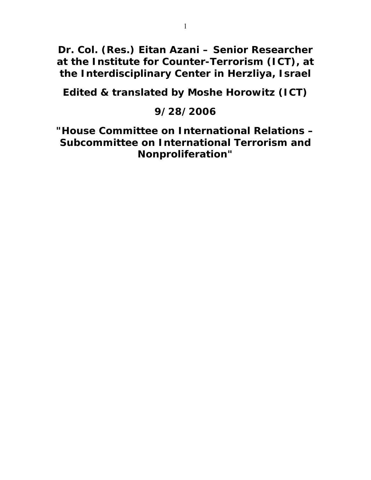**Dr. Col. (Res.) Eitan Azani – Senior Researcher at the Institute for Counter-Terrorism (ICT), at the Interdisciplinary Center in Herzliya, Israel** 

**Edited & translated by Moshe Horowitz (ICT)** 

# **9/28/2006**

**"House Committee on International Relations – Subcommittee on International Terrorism and Nonproliferation"**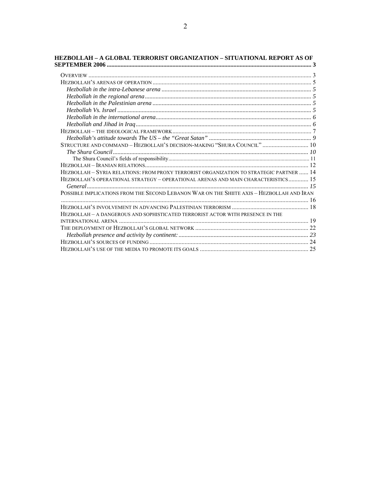| STRUCTURE AND COMMAND - HEZBOLLAH'S DECISION-MAKING "SHURA COUNCIL"  10                   |  |
|-------------------------------------------------------------------------------------------|--|
|                                                                                           |  |
|                                                                                           |  |
|                                                                                           |  |
| HEZBOLLAH - SYRIA RELATIONS: FROM PROXY TERRORIST ORGANIZATION TO STRATEGIC PARTNER  14   |  |
| HEZBOLLAH'S OPERATIONAL STRATEGY - OPERATIONAL ARENAS AND MAIN CHARACTERISTICS 15         |  |
|                                                                                           |  |
| POSSIBLE IMPLICATIONS FROM THE SECOND LEBANON WAR ON THE SHIITE AXIS - HEZBOLLAH AND IRAN |  |
|                                                                                           |  |
|                                                                                           |  |
| HEZBOLLAH – A DANGEROUS AND SOPHISTICATED TERRORIST ACTOR WITH PRESENCE IN THE            |  |
|                                                                                           |  |
|                                                                                           |  |
|                                                                                           |  |
|                                                                                           |  |
|                                                                                           |  |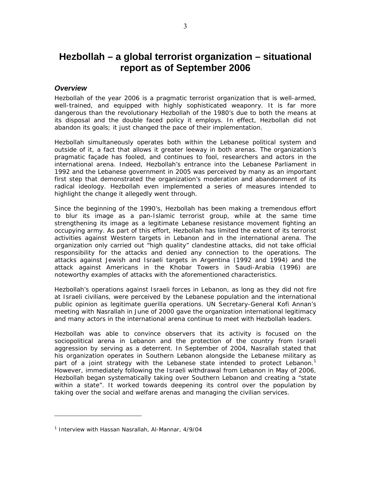# **Hezbollah – a global terrorist organization – situational report as of September 2006**

## *Overview*

Hezbollah of the year 2006 is a pragmatic terrorist organization that is well-armed, well-trained, and equipped with highly sophisticated weaponry. It is far more dangerous than the revolutionary Hezbollah of the 1980's due to both the means at its disposal and the double faced policy it employs. In effect, Hezbollah did not abandon its goals; it just changed the pace of their implementation.

Hezbollah simultaneously operates both within the Lebanese political system and outside of it, a fact that allows it greater leeway in both arenas. The organization's pragmatic façade has fooled, and continues to fool, researchers and actors in the international arena. Indeed, Hezbollah's entrance into the Lebanese Parliament in 1992 and the Lebanese government in 2005 was perceived by many as an important first step that demonstrated the organization's moderation and abandonment of its radical ideology. Hezbollah even implemented a series of measures intended to highlight the change it allegedly went through.

Since the beginning of the 1990's, Hezbollah has been making a tremendous effort to blur its image as a pan-Islamic terrorist group, while at the same time strengthening its image as a legitimate Lebanese resistance movement fighting an occupying army. As part of this effort, Hezbollah has limited the extent of its terrorist activities against Western targets in Lebanon and in the international arena. The organization only carried out "high quality" clandestine attacks, did not take official responsibility for the attacks and denied any connection to the operations. The attacks against Jewish and Israeli targets in Argentina (1992 and 1994) and the attack against Americans in the Khobar Towers in Saudi-Arabia (1996) are noteworthy examples of attacks with the aforementioned characteristics.

Hezbollah's operations against Israeli forces in Lebanon, as long as they did not fire at Israeli civilians, were perceived by the Lebanese population and the international public opinion as legitimate guerilla operations. UN Secretary-General Kofi Annan's meeting with Nasrallah in June of 2000 gave the organization international legitimacy and many actors in the international arena continue to meet with Hezbollah leaders.

Hezbollah was able to convince observers that its activity is focused on the sociopolitical arena in Lebanon and the protection of the country from Israeli aggression by serving as a deterrent. In September of 2004, Nasrallah stated that his organization operates in Southern Lebanon alongside the Lebanese military as part of a joint strategy with the Lebanese state intended to protect Lebanon.<sup>1</sup> However, immediately following the Israeli withdrawal from Lebanon in May of 2006, Hezbollah began systematically taking over Southern Lebanon and creating a "state within a state". It worked towards deepening its control over the population by taking over the social and welfare arenas and managing the civilian services.

<sup>1</sup> Interview with Hassan Nasrallah, Al-Mannar, 4/9/04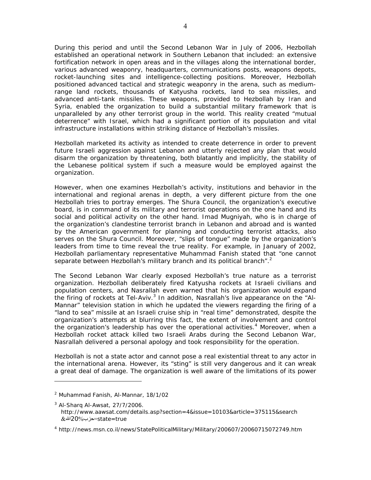During this period and until the Second Lebanon War in July of 2006, Hezbollah established an operational network in Southern Lebanon that included: an extensive fortification network in open areas and in the villages along the international border, various advanced weaponry, headquarters, communications posts, weapons depots, rocket-launching sites and intelligence-collecting positions. Moreover, Hezbollah positioned advanced tactical and strategic weaponry in the arena, such as mediumrange land rockets, thousands of Katyusha rockets, land to sea missiles, and advanced anti-tank missiles. These weapons, provided to Hezbollah by Iran and Syria, enabled the organization to build a substantial military framework that is unparalleled by any other terrorist group in the world. This reality created "mutual deterrence" with Israel, which had a significant portion of its population and vital infrastructure installations within striking distance of Hezbollah's missiles.

Hezbollah marketed its activity as intended to create deterrence in order to prevent future Israeli aggression against Lebanon and utterly rejected any plan that would disarm the organization by threatening, both blatantly and implicitly, the stability of the Lebanese political system if such a measure would be employed against the organization.

However, when one examines Hezbollah's activity, institutions and behavior in the international and regional arenas in depth, a very different picture from the one Hezbollah tries to portray emerges. The Shura Council, the organization's executive board, is in command of its military and terrorist operations on the one hand and its social and political activity on the other hand. Imad Mugniyah, who is in charge of the organization's clandestine terrorist branch in Lebanon and abroad and is wanted by the American government for planning and conducting terrorist attacks, also serves on the Shura Council. Moreover, "slips of tongue" made by the organization's leaders from time to time reveal the true reality. For example, in January of 2002, Hezbollah parliamentary representative Muhammad Fanish stated that "*one cannot separate between Hezbollah's military branch and its political branch*".<sup>2</sup>

The Second Lebanon War clearly exposed Hezbollah's true nature as a terrorist organization. Hezbollah deliberately fired Katyusha rockets at Israeli civilians and population centers, and Nasrallah even warned that his organization would expand the firing of rockets at Tel-Aviv.<sup>3</sup> In addition, Nasrallah's live appearance on the "Al-*Mannar*" television station in which he updated the viewers regarding the firing of a "land to sea" missile at an Israeli cruise ship in "real time" demonstrated, despite the organization's attempts at blurring this fact, the extent of involvement and control the organization's leadership has over the operational activities.<sup>4</sup> Moreover, when a Hezbollah rocket attack killed two Israeli Arabs during the Second Lebanon War, Nasrallah delivered a personal apology and took responsibility for the operation.

Hezbollah is not a state actor and cannot pose a real existential threat to any actor in the international arena. However, its "sting" is still very dangerous and it can wreak a great deal of damage. The organization is well aware of the limitations of its power

<sup>2</sup> Muhammad Fanish, Al-Mannar, 18/1/02

<sup>&</sup>lt;sup>3</sup> Al-Sharq Al-Awsat, 27/7/2006. http://www.aawsat.com/details.asp?section=4&issue=10103&article=375115&search  $&\&$ الله $=$ state=true

<sup>4</sup> http://news.msn.co.il/news/StatePoliticalMilitary/Military/200607/20060715072749.htm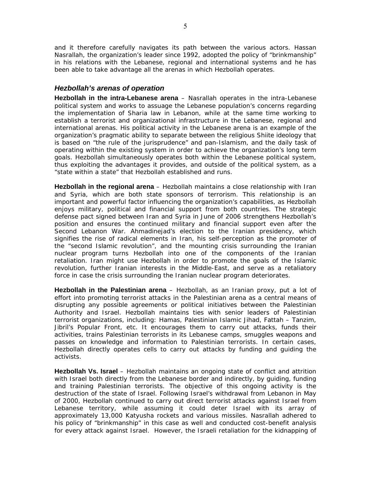and it therefore carefully navigates its path between the various actors. Hassan Nasrallah, the organization's leader since 1992, adopted the policy of "brinkmanship" in his relations with the Lebanese, regional and international systems and he has been able to take advantage all the arenas in which Hezbollah operates.

# *Hezbollah's arenas of operation*

**Hezbollah in the intra-Lebanese arena** – Nasrallah operates in the intra-Lebanese political system and works to assuage the Lebanese population's concerns regarding the implementation of Sharia law in Lebanon, while at the same time working to establish a terrorist and organizational infrastructure in the Lebanese, regional and international arenas. His political activity in the Lebanese arena is an example of the organization's pragmatic ability to separate between the religious Shiite ideology that is based on "the rule of the jurisprudence" and pan-Islamism, and the daily task of operating within the existing system in order to achieve the organization's long term goals. Hezbollah simultaneously operates both within the Lebanese political system, thus exploiting the advantages it provides, and outside of the political system, as a "state within a state" that Hezbollah established and runs.

**Hezbollah in the regional arena** – Hezbollah maintains a close relationship with Iran and Syria, which are both state sponsors of terrorism. This relationship is an important and powerful factor influencing the organization's capabilities, as Hezbollah enjoys military, political and financial support from both countries. The strategic defense pact signed between Iran and Syria in June of 2006 strengthens Hezbollah's position and ensures the continued military and financial support even after the Second Lebanon War. Ahmadinejad's election to the Iranian presidency, which signifies the rise of radical elements in Iran, his self-perception as the promoter of the "second Islamic revolution", and the mounting crisis surrounding the Iranian nuclear program turns Hezbollah into one of the components of the Iranian retaliation. Iran might use Hezbollah in order to promote the goals of the Islamic revolution, further Iranian interests in the Middle-East, and serve as a retaliatory force in case the crisis surrounding the Iranian nuclear program deteriorates.

**Hezbollah in the Palestinian arena** – Hezbollah, as an Iranian proxy, put a lot of effort into promoting terrorist attacks in the Palestinian arena as a central means of disrupting any possible agreements or political initiatives between the Palestinian Authority and Israel. Hezbollah maintains ties with senior leaders of Palestinian terrorist organizations, including: Hamas, Palestinian Islamic Jihad, Fattah – Tanzim, Jibril's Popular Front, etc. It encourages them to carry out attacks, funds their activities, trains Palestinian terrorists in its Lebanese camps, smuggles weapons and passes on knowledge and information to Palestinian terrorists. In certain cases, Hezbollah directly operates cells to carry out attacks by funding and guiding the activists.

**Hezbollah Vs. Israel** – Hezbollah maintains an ongoing state of conflict and attrition with Israel both directly from the Lebanese border and indirectly, by guiding, funding and training Palestinian terrorists. The objective of this ongoing activity is the destruction of the state of Israel. Following Israel's withdrawal from Lebanon in May of 2000, Hezbollah continued to carry out direct terrorist attacks against Israel from Lebanese territory, while assuming it could deter Israel with its array of approximately 13,000 Katyusha rockets and various missiles. Nasrallah adhered to his policy of "brinkmanship" in this case as well and conducted cost-benefit analysis for every attack against Israel. However, the Israeli retaliation for the kidnapping of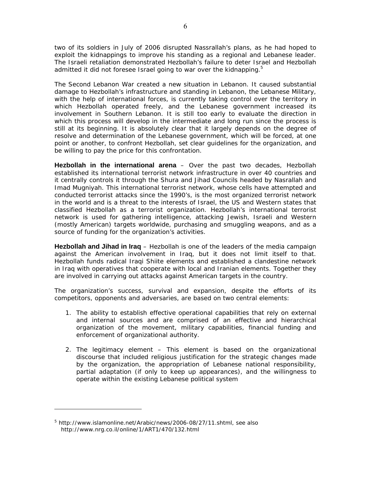two of its soldiers in July of 2006 disrupted Nassrallah's plans, as he had hoped to exploit the kidnappings to improve his standing as a regional and Lebanese leader. The Israeli retaliation demonstrated Hezbollah's failure to deter Israel and Hezbollah admitted it did not foresee Israel going to war over the kidnapping. $5$ 

The Second Lebanon War created a new situation in Lebanon. It caused substantial damage to Hezbollah's infrastructure and standing in Lebanon, the Lebanese Military, with the help of international forces, is currently taking control over the territory in which Hezbollah operated freely, and the Lebanese government increased its involvement in Southern Lebanon. It is still too early to evaluate the direction in which this process will develop in the intermediate and long run since the process is still at its beginning. It is absolutely clear that it largely depends on the degree of resolve and determination of the Lebanese government, which will be forced, at one point or another, to confront Hezbollah, set clear guidelines for the organization, and be willing to pay the price for this confrontation.

**Hezbollah in the international arena** – Over the past two decades, Hezbollah established its international terrorist network infrastructure in over 40 countries and it centrally controls it through the Shura and Jihad Councils headed by Nasrallah and Imad Mugniyah. This international terrorist network, whose cells have attempted and conducted terrorist attacks since the 1990's, is the most organized terrorist network in the world and is a threat to the interests of Israel, the US and Western states that classified Hezbollah as a terrorist organization. Hezbollah's international terrorist network is used for gathering intelligence, attacking Jewish, Israeli and Western (mostly American) targets worldwide, purchasing and smuggling weapons, and as a source of funding for the organization's activities.

**Hezbollah and Jihad in Iraq** – Hezbollah is one of the leaders of the media campaign against the American involvement in Iraq, but it does not limit itself to that. Hezbollah funds radical Iraqi Shiite elements and established a clandestine network in Iraq with operatives that cooperate with local and Iranian elements. Together they are involved in carrying out attacks against American targets in the country.

The organization's success, survival and expansion, despite the efforts of its competitors, opponents and adversaries, are based on two central elements:

- 1. The ability to establish effective operational capabilities that rely on external and internal sources and are comprised of an effective and hierarchical organization of the movement, military capabilities, financial funding and enforcement of organizational authority.
- 2. The legitimacy element This element is based on the organizational discourse that included religious justification for the strategic changes made by the organization, the appropriation of Lebanese national responsibility, partial adaptation (if only to keep up appearances), and the willingness to operate within the existing Lebanese political system

<sup>&</sup>lt;sup>5</sup> http://www.islamonline.net/Arabic/news/2006-08/27/11.shtml, see also http://www.nrg.co.il/online/1/ART1/470/132.html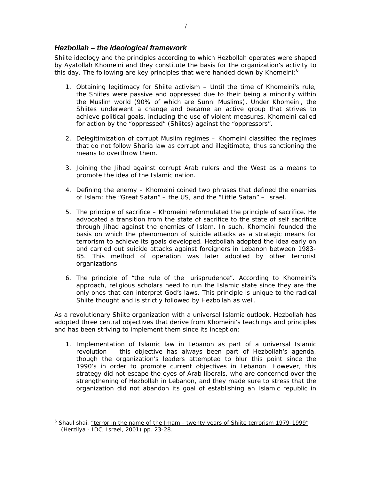Shiite ideology and the principles according to which Hezbollah operates were shaped by Ayatollah Khomeini and they constitute the basis for the organization's activity to this day. The following are key principles that were handed down by Khomeini: $6$ 

- 1. Obtaining legitimacy for Shiite activism Until the time of Khomeini's rule, the Shiites were passive and oppressed due to their being a minority within the Muslim world (90% of which are Sunni Muslims). Under Khomeini, the Shiites underwent a change and became an active group that strives to achieve political goals, including the use of violent measures. Khomeini called for action by the "oppressed" (Shiites) against the "oppressors".
- 2. Delegitimization of corrupt Muslim regimes Khomeini classified the regimes that do not follow Sharia law as corrupt and illegitimate, thus sanctioning the means to overthrow them.
- 3. Joining the Jihad against corrupt Arab rulers and the West as a means to promote the idea of the Islamic nation.
- 4. Defining the enemy Khomeini coined two phrases that defined the enemies of Islam: the "Great Satan" – the US, and the "Little Satan" – Israel.
- 5. The principle of sacrifice Khomeini reformulated the principle of sacrifice. He advocated a transition from the state of sacrifice to the state of self sacrifice through Jihad against the enemies of Islam. In such, Khomeini founded the basis on which the phenomenon of suicide attacks as a strategic means for terrorism to achieve its goals developed. Hezbollah adopted the idea early on and carried out suicide attacks against foreigners in Lebanon between 1983- 85. This method of operation was later adopted by other terrorist organizations.
- 6. The principle of "the rule of the jurisprudence". According to Khomeini's approach, religious scholars need to run the Islamic state since they are the only ones that can interpret God's laws. This principle is unique to the radical Shiite thought and is strictly followed by Hezbollah as well.

As a revolutionary Shiite organization with a universal Islamic outlook, Hezbollah has adopted three central objectives that derive from Khomeini's teachings and principles and has been striving to implement them since its inception:

1. Implementation of Islamic law in Lebanon as part of a universal Islamic revolution – this objective has always been part of Hezbollah's agenda, though the organization's leaders attempted to blur this point since the 1990's in order to promote current objectives in Lebanon. However, this strategy did not escape the eyes of Arab liberals, who are concerned over the strengthening of Hezbollah in Lebanon, and they made sure to stress that the organization did not abandon its goal of establishing an Islamic republic in

<sup>&</sup>lt;sup>6</sup> Shaul shai, <u>"terror in the name of the Imam - twenty years of Shiite terrorism 1979-1999"</u> (Herzliya - IDC, Israel, 2001) pp. 23-28.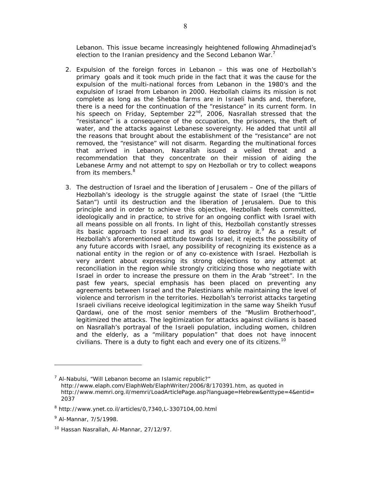Lebanon. This issue became increasingly heightened following Ahmadinejad's election to the Iranian presidency and the Second Lebanon War.<sup>7</sup>

- 2. Expulsion of the foreign forces in Lebanon this was one of Hezbollah's primary goals and it took much pride in the fact that it was the cause for the expulsion of the multi-national forces from Lebanon in the 1980's and the expulsion of Israel from Lebanon in 2000. Hezbollah claims its mission is not complete as long as the Shebba farms are in Israeli hands and, therefore, there is a need for the continuation of the "resistance" in its current form. In his speech on Friday, September 22<sup>nd</sup>, 2006, Nasrallah stressed that the "resistance" is a consequence of the occupation, the prisoners, the theft of water, and the attacks against Lebanese sovereignty. He added that until all the reasons that brought about the establishment of the "resistance" are not removed, the "resistance" will not disarm. Regarding the multinational forces that arrived in Lebanon, Nasrallah issued a veiled threat and a recommendation that they concentrate on their mission of aiding the Lebanese Army and not attempt to spy on Hezbollah or try to collect weapons from its members.<sup>8</sup>
- 3. The destruction of Israel and the liberation of Jerusalem One of the pillars of Hezbollah's ideology is the struggle against the state of Israel (the "Little Satan") until its destruction and the liberation of Jerusalem. Due to this principle and in order to achieve this objective, Hezbollah feels committed, ideologically and in practice, to strive for an ongoing conflict with Israel with all means possible on all fronts. In light of this, Hezbollah constantly stresses its basic approach to Israel and its goal to destroy it.  $9$  As a result of Hezbollah's aforementioned attitude towards Israel, it rejects the possibility of any future accords with Israel, any possibility of recognizing its existence as a national entity in the region or of any co-existence with Israel. Hezbollah is very ardent about expressing its strong objections to any attempt at reconciliation in the region while strongly criticizing those who negotiate with Israel in order to increase the pressure on them in the Arab "street". In the past few years, special emphasis has been placed on preventing any agreements between Israel and the Palestinians while maintaining the level of violence and terrorism in the territories. Hezbollah's terrorist attacks targeting Israeli civilians receive ideological legitimization in the same way Sheikh Yusuf Qardawi, one of the most senior members of the "Muslim Brotherhood", legitimized the attacks. The legitimization for attacks against civilians is based on Nasrallah's portrayal of the Israeli population, including women, children and the elderly, as a "military population" that does not have innocent civilians. There is a duty to fight each and every one of its citizens.<sup>10</sup>

<sup>&</sup>lt;sup>7</sup> Al-Nabulsi, "Will Lebanon become an Islamic republic?" http://www.elaph.com/ElaphWeb/ElaphWriter/2006/8/170391.htm, as quoted in http://www.memri.org.il/memri/LoadArticlePage.asp?language=Hebrew&enttype=4&entid= 2037

<sup>8</sup> http://www.ynet.co.il/articles/0,7340,L-3307104,00.html

<sup>9</sup> Al-Mannar, 7/5/1998.

<sup>10</sup> Hassan Nasrallah, Al-Mannar, 27/12/97.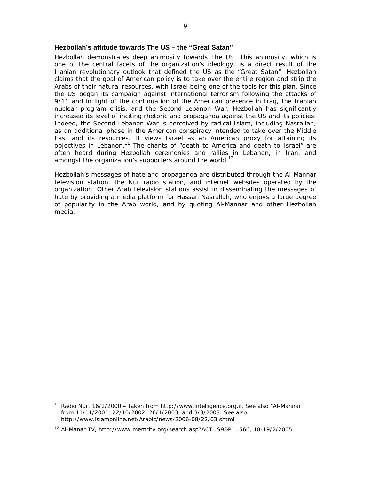## **Hezbollah's attitude towards The US – the "Great Satan"**

Hezbollah demonstrates deep animosity towards The US. This animosity, which is one of the central facets of the organization's ideology, is a direct result of the Iranian revolutionary outlook that defined the US as the "Great Satan". Hezbollah claims that the goal of American policy is to take over the entire region and strip the Arabs of their natural resources, with Israel being one of the tools for this plan. Since the US began its campaign against international terrorism following the attacks of 9/11 and in light of the continuation of the American presence in Iraq, the Iranian nuclear program crisis, and the Second Lebanon War, Hezbollah has significantly increased its level of inciting rhetoric and propaganda against the US and its policies. Indeed, the Second Lebanon War is perceived by radical Islam, including Nasrallah, as an additional phase in the American conspiracy intended to take over the Middle East and its resources. It views Israel as an American proxy for attaining its objectives in Lebanon.<sup>11</sup> The chants of "death to America and death to Israel" are often heard during Hezbollah ceremonies and rallies in Lebanon, in Iran, and amongst the organization's supporters around the world.<sup>12</sup>

Hezbollah's messages of hate and propaganda are distributed through the Al-Mannar television station, the Nur radio station, and internet websites operated by the organization. Other Arab television stations assist in disseminating the messages of hate by providing a media platform for Hassan Nasrallah, who enjoys a large degree of popularity in the Arab world, and by quoting Al-Mannar and other Hezbollah media.

<sup>&</sup>lt;sup>11</sup> Radio Nur, 16/2/2000 – taken from http://www.intelligence.org.il. See also "Al-Mannar" from 11/11/2001, 22/10/2002, 26/1/2003, and 3/3/2003. See also http://www.islamonline.net/Arabic/news/2006-08/22/03.shtml

<sup>12</sup> Al-Manar TV, http://www.memritv.org/search.asp?ACT=S9&P1=566, 18-19/2/2005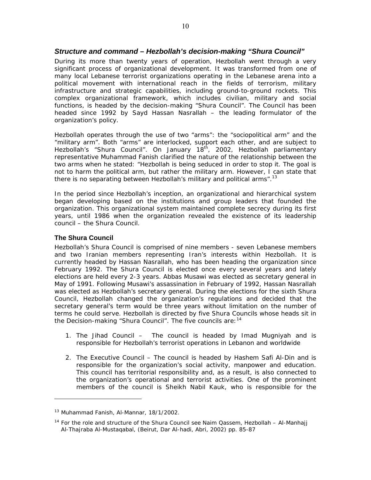During its more than twenty years of operation, Hezbollah went through a very significant process of organizational development. It was transformed from one of many local Lebanese terrorist organizations operating in the Lebanese arena into a political movement with international reach in the fields of terrorism, military infrastructure and strategic capabilities, including ground-to-ground rockets. This complex organizational framework, which includes civilian, military and social functions, is headed by the decision-making "Shura Council". The Council has been headed since 1992 by Sayd Hassan Nasrallah – the leading formulator of the organization's policy.

Hezbollah operates through the use of two "arms": the "sociopolitical arm" and the "military arm". Both "arms" are interlocked, support each other, and are subject to Hezbollah's "Shura Council". On January 18<sup>th</sup>, 2002, Hezbollah parliamentary representative Muhammad Fanish clarified the nature of the relationship between the two arms when he stated: "Hezbollah is being seduced in order to stop it. The goal is not to harm the political arm, but rather the military arm. However, I can state that there is no separating between Hezbollah's military and political arms".<sup>13</sup>

In the period since Hezbollah's inception, an organizational and hierarchical system began developing based on the institutions and group leaders that founded the organization. This organizational system maintained complete secrecy during its first years, until 1986 when the organization revealed the existence of its leadership council – the Shura Council.

## **The Shura Council**

-

Hezbollah's Shura Council is comprised of nine members - seven Lebanese members and two Iranian members representing Iran's interests within Hezbollah. It is currently headed by Hassan Nasrallah, who has been heading the organization since February 1992. The Shura Council is elected once every several years and lately elections are held every 2-3 years. Abbas Musawi was elected as secretary general in May of 1991. Following Musawi's assassination in February of 1992, Hassan Nasrallah was elected as Hezbollah's secretary general. During the elections for the sixth Shura Council, Hezbollah changed the organization's regulations and decided that the secretary general's term would be three years without limitation on the number of terms he could serve. Hezbollah is directed by five Shura Councils whose heads sit in the Decision-making "Shura Council". The five councils are: <sup>14</sup>

- 1. The Jihad Council The council is headed by Imad Mugniyah and is responsible for Hezbollah's terrorist operations in Lebanon and worldwide
- 2. The Executive Council The council is headed by Hashem Safi Al-Din and is responsible for the organization's social activity, manpower and education. This council has territorial responsibility and, as a result, is also connected to the organization's operational and terrorist activities. One of the prominent members of the council is Sheikh Nabil Kauk, who is responsible for the

<sup>13</sup> Muhammad Fanish, *Al-Mannar,* 18/1/2002.

<sup>14</sup> For the role and structure of the Shura Council see Naim Qassem, *Hezbollah – Al-Manhajj Al-Thajraba Al-Mustaqabal*, (Beirut, Dar Al-hadi, Abri, 2002) pp. 85-87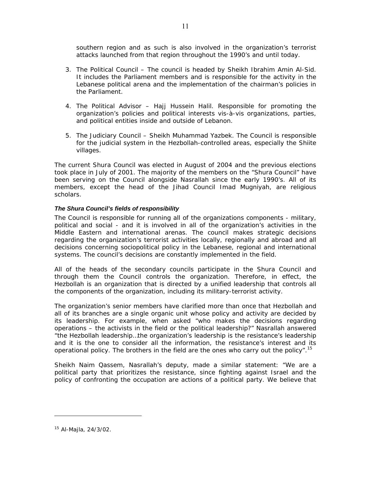southern region and as such is also involved in the organization's terrorist attacks launched from that region throughout the 1990's and until today.

- 3. The Political Council The council is headed by Sheikh Ibrahim Amin Al-Sid. It includes the Parliament members and is responsible for the activity in the Lebanese political arena and the implementation of the chairman's policies in the Parliament.
- 4. The Political Advisor Hajj Hussein Halil. Responsible for promoting the organization's policies and political interests vis-à-vis organizations, parties, and political entities inside and outside of Lebanon.
- 5. The Judiciary Council Sheikh Muhammad Yazbek. The Council is responsible for the judicial system in the Hezbollah-controlled areas, especially the Shiite villages.

The current Shura Council was elected in August of 2004 and the previous elections took place in July of 2001. The majority of the members on the "Shura Council" have been serving on the Council alongside Nasrallah since the early 1990's. All of its members, except the head of the Jihad Council Imad Mugniyah, are religious scholars.

#### *The Shura Council's fields of responsibility*

The Council is responsible for running all of the organizations components - military, political and social - and it is involved in all of the organization's activities in the Middle Eastern and international arenas. The council makes strategic decisions regarding the organization's terrorist activities locally, regionally and abroad and all decisions concerning sociopolitical policy in the Lebanese, regional and international systems. The council's decisions are constantly implemented in the field.

All of the heads of the secondary councils participate in the Shura Council and through them the Council controls the organization. Therefore, in effect, the Hezbollah is an organization that is directed by a unified leadership that controls all the components of the organization, including its military-terrorist activity.

The organization's senior members have clarified more than once that Hezbollah and all of its branches are a single organic unit whose policy and activity are decided by its leadership. For example, when asked "who makes the decisions regarding operations – the activists in the field or the political leadership?" Nasrallah answered "the Hezbollah leadership…the organization's leadership is the resistance's leadership and it is the one to consider all the information, the resistance's interest and its operational policy. The brothers in the field are the ones who carry out the policy".<sup>15</sup>

Sheikh Naim Qassem, Nasrallah's deputy, made a similar statement: "We are a political party that prioritizes the resistance, since fighting against Israel and the policy of confronting the occupation are actions of a political party. We believe that

<sup>15</sup> Al-Majla, 24/3/02.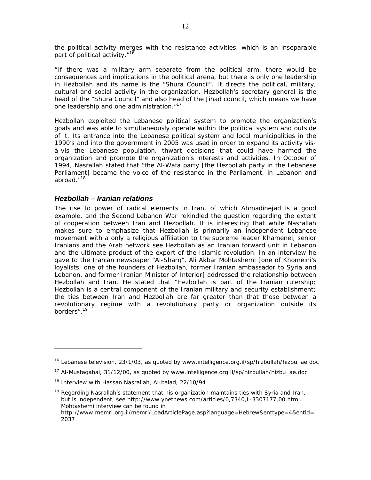the political activity merges with the resistance activities, which is an inseparable part of political activity."<sup>16</sup>

"If there was a military arm separate from the political arm, there would be consequences and implications in the political arena, but there is only one leadership in Hezbollah and its name is the "Shura Council". It directs the political, military, cultural and social activity in the organization. Hezbollah's secretary general is the head of the "Shura Council" and also head of the Jihad council, which means we have one leadership and one administration."<sup>17</sup>

Hezbollah exploited the Lebanese political system to promote the organization's goals and was able to simultaneously operate within the political system and outside of it. Its entrance into the Lebanese political system and local municipalities in the 1990's and into the government in 2005 was used in order to expand its activity visà-vis the Lebanese population, thwart decisions that could have harmed the organization and promote the organization's interests and activities. In October of 1994, Nasrallah stated that "*the Al-Wafa party [the Hezbollah party in the Lebanese Parliament] became the voice of the resistance in the Parliament, in Lebanon and abroad*."18

## *Hezbollah – Iranian relations*

-

The rise to power of radical elements in Iran, of which Ahmadinejad is a good example, and the Second Lebanon War rekindled the question regarding the extent of cooperation between Iran and Hezbollah. It is interesting that while Nasrallah makes sure to emphasize that Hezbollah is primarily an independent Lebanese movement with a only a religious affiliation to the supreme leader Khamenei, senior Iranians and the Arab network see Hezbollah as an Iranian forward unit in Lebanon and the ultimate product of the export of the Islamic revolution. In an interview he gave to the Iranian newspaper "Al-Sharq", Ali Akbar Mohtashemi [one of Khomeini's loyalists, one of the founders of Hezbollah, former Iranian ambassador to Syria and Lebanon, and former Iranian Minister of Interior] addressed the relationship between Hezbollah and Iran. He stated that "Hezbollah is part of the Iranian rulership; Hezbollah is a central component of the Iranian military and security establishment; the ties between Iran and Hezbollah are far greater than that those between a revolutionary regime with a revolutionary party or organization outside its borders".19

<sup>&</sup>lt;sup>16</sup> Lebanese television, 23/1/03, as quoted by www.intelligence.org.il/sp/hizbullah/hizbu\_ae.doc

<sup>17</sup> Al-Mustaqabal, 31/12/00, as quoted by www.intelligence.org.il/sp/hizbullah/hizbu\_ae.doc

<sup>&</sup>lt;sup>18</sup> Interview with Hassan Nasrallah, Al-balad, 22/10/94

 $19$  Regarding Nasrallah's statement that his organization maintains ties with Syria and Iran, but is independent, see http://www.ynetnews.com/articles/0,7340,L-3307177,00.html. Mohtashemi interview can be found in http://www.memri.org.il/memri/LoadArticlePage.asp?language=Hebrew&enttype=4&entid=

<sup>2037</sup>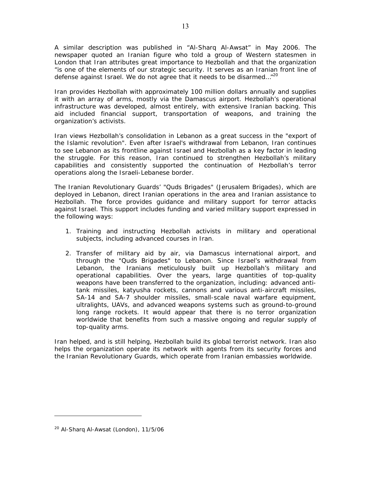A similar description was published in "Al-Sharq Al-Awsat" in May 2006. The newspaper quoted an Iranian figure who told a group of Western statesmen in London that Iran attributes great importance to Hezbollah and that the organization "is one of the elements of our strategic security. It serves as an Iranian front line of defense against Israel. We do not agree that it needs to be disarmed…"20

Iran provides Hezbollah with approximately 100 million dollars annually and supplies it with an array of arms, mostly via the Damascus airport. Hezbollah's operational infrastructure was developed, almost entirely, with extensive Iranian backing. This aid included financial support, transportation of weapons, and training the organization's activists.

Iran views Hezbollah's consolidation in Lebanon as a great success in the "export of the Islamic revolution". Even after Israel's withdrawal from Lebanon, Iran continues to see Lebanon as its frontline against Israel and Hezbollah as a key factor in leading the struggle. For this reason, Iran continued to strengthen Hezbollah's military capabilities and consistently supported the continuation of Hezbollah's terror operations along the Israeli-Lebanese border.

The Iranian Revolutionary Guards' "Quds Brigades" (Jerusalem Brigades), which are deployed in Lebanon, direct Iranian operations in the area and Iranian assistance to Hezbollah. The force provides guidance and military support for terror attacks against Israel. This support includes funding and varied military support expressed in the following ways:

- 1. Training and instructing Hezbollah activists in military and operational subjects, including advanced courses in Iran.
- 2. Transfer of military aid by air, via Damascus international airport, and through the "Quds Brigades" to Lebanon. Since Israel's withdrawal from Lebanon, the Iranians meticulously built up Hezbollah's military and operational capabilities. Over the years, large quantities of top-quality weapons have been transferred to the organization, including: advanced antitank missiles, katyusha rockets, cannons and various anti-aircraft missiles, SA-14 and SA-7 shoulder missiles, small-scale naval warfare equipment, ultralights, UAVs, and advanced weapons systems such as ground-to-ground long range rockets. It would appear that there is no terror organization worldwide that benefits from such a massive ongoing and regular supply of top-quality arms.

Iran helped, and is still helping, Hezbollah build its global terrorist network. Iran also helps the organization operate its network with agents from its security forces and the Iranian Revolutionary Guards, which operate from Iranian embassies worldwide.

<sup>&</sup>lt;sup>20</sup> Al-Sharq Al-Awsat (London), 11/5/06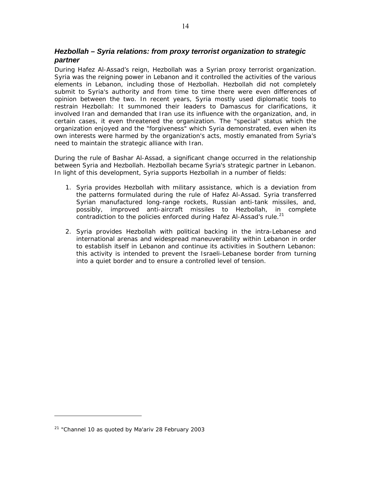# *Hezbollah – Syria relations: from proxy terrorist organization to strategic partner*

During Hafez Al-Assad's reign, Hezbollah was a Syrian proxy terrorist organization. Syria was the reigning power in Lebanon and it controlled the activities of the various elements in Lebanon, including those of Hezbollah. Hezbollah did not completely submit to Syria's authority and from time to time there were even differences of opinion between the two. In recent years, Syria mostly used diplomatic tools to restrain Hezbollah: It summoned their leaders to Damascus for clarifications, it involved Iran and demanded that Iran use its influence with the organization, and, in certain cases, it even threatened the organization. The "special" status which the organization enjoyed and the "forgiveness" which Syria demonstrated, even when its own interests were harmed by the organization's acts, mostly emanated from Syria's need to maintain the strategic alliance with Iran.

During the rule of Bashar Al-Assad, a significant change occurred in the relationship between Syria and Hezbollah. Hezbollah became Syria's strategic partner in Lebanon. In light of this development, Syria supports Hezbollah in a number of fields:

- 1. Syria provides Hezbollah with military assistance, which is a deviation from the patterns formulated during the rule of Hafez Al-Assad. Syria transferred Syrian manufactured long-range rockets, Russian anti-tank missiles, and, possibly, improved anti-aircraft missiles to Hezbollah, in complete contradiction to the policies enforced during Hafez Al-Assad's rule.<sup>21</sup>
- 2. Syria provides Hezbollah with political backing in the intra-Lebanese and international arenas and widespread maneuverability within Lebanon in order to establish itself in Lebanon and continue its activities in Southern Lebanon: this activity is intended to prevent the Israeli-Lebanese border from turning into a quiet border and to ensure a controlled level of tension.

<sup>21 &</sup>quot;Channel 10 as quoted by Ma'ariv 28 February 2003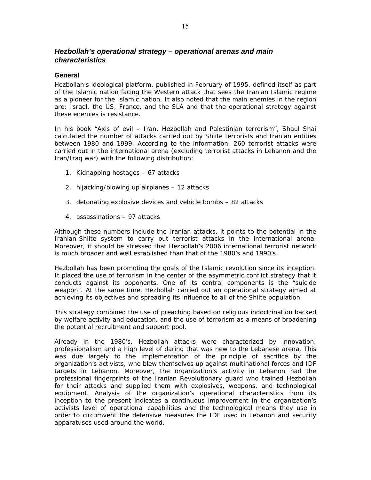# *Hezbollah's operational strategy – operational arenas and main characteristics*

#### **General**

Hezbollah's ideological platform, published in February of 1995, defined itself as part of the Islamic nation facing the Western attack that sees the Iranian Islamic regime as a pioneer for the Islamic nation. It also noted that the main enemies in the region are: Israel, the US, France, and the SLA and that the operational strategy against these enemies is resistance.

In his book "*Axis of evil – Iran, Hezbollah and Palestinian terrorism*", Shaul Shai calculated the number of attacks carried out by Shiite terrorists and Iranian entities between 1980 and 1999. According to the information, 260 terrorist attacks were carried out in the international arena (excluding terrorist attacks in Lebanon and the Iran/Iraq war) with the following distribution:

- 1. Kidnapping hostages 67 attacks
- 2. hijacking/blowing up airplanes 12 attacks
- 3. detonating explosive devices and vehicle bombs 82 attacks
- 4. assassinations 97 attacks

Although these numbers include the Iranian attacks, it points to the potential in the Iranian-Shiite system to carry out terrorist attacks in the international arena. Moreover, it should be stressed that Hezbollah's 2006 international terrorist network is much broader and well established than that of the 1980's and 1990's.

Hezbollah has been promoting the goals of the Islamic revolution since its inception. It placed the use of terrorism in the center of the asymmetric conflict strategy that it conducts against its opponents. One of its central components is the "suicide weapon". At the same time, Hezbollah carried out an operational strategy aimed at achieving its objectives and spreading its influence to all of the Shiite population.

This strategy combined the use of preaching based on religious indoctrination backed by welfare activity and education, and the use of terrorism as a means of broadening the potential recruitment and support pool.

Already in the 1980's, Hezbollah attacks were characterized by innovation, professionalism and a high level of daring that was new to the Lebanese arena. This was due largely to the implementation of the principle of sacrifice by the organization's activists, who blew themselves up against multinational forces and IDF targets in Lebanon. Moreover, the organization's activity in Lebanon had the professional fingerprints of the Iranian Revolutionary guard who trained Hezbollah for their attacks and supplied them with explosives, weapons, and technological equipment. Analysis of the organization's operational characteristics from its inception to the present indicates a continuous improvement in the organization's activists level of operational capabilities and the technological means they use in order to circumvent the defensive measures the IDF used in Lebanon and security apparatuses used around the world.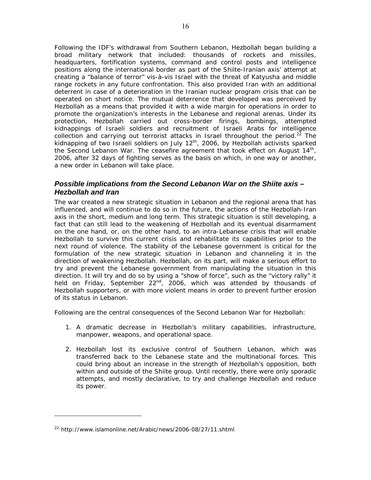Following the IDF's withdrawal from Southern Lebanon, Hezbollah began building a broad military network that included: thousands of rockets and missiles, headquarters, fortification systems, command and control posts and intelligence positions along the international border as part of the Shiite-Iranian axis' attempt at creating a "balance of terror" vis-à-vis Israel with the threat of Katyusha and middle range rockets in any future confrontation. This also provided Iran with an additional deterrent in case of a deterioration in the Iranian nuclear program crisis that can be operated on short notice. The mutual deterrence that developed was perceived by Hezbollah as a means that provided it with a wide margin for operations in order to promote the organization's interests in the Lebanese and regional arenas. Under its protection, Hezbollah carried out cross-border firings, bombings, attempted kidnappings of Israeli soldiers and recruitment of Israeli Arabs for intelligence collection and carrying out terrorist attacks in Israel throughout the period.<sup>22</sup> The kidnapping of two Israeli soldiers on July 12<sup>th</sup>, 2006, by Hezbollah activists sparked the Second Lebanon War. The ceasefire agreement that took effect on August 14<sup>th</sup>, 2006, after 32 days of fighting serves as the basis on which, in one way or another, a new order in Lebanon will take place.

# *Possible implications from the Second Lebanon War on the Shiite axis – Hezbollah and Iran*

The war created a new strategic situation in Lebanon and the regional arena that has influenced, and will continue to do so in the future, the actions of the Hezbollah-Iran axis in the short, medium and long term. This strategic situation is still developing, a fact that can still lead to the weakening of Hezbollah and its eventual disarmament on the one hand, or, on the other hand, to an intra-Lebanese crisis that will enable Hezbollah to survive this current crisis and rehabilitate its capabilities prior to the next round of violence. The stability of the Lebanese government is critical for the formulation of the new strategic situation in Lebanon and channeling it in the direction of weakening Hezbollah. Hezbollah, on its part, will make a serious effort to try and prevent the Lebanese government from manipulating the situation in this direction. It will try and do so by using a "show of force", such as the "victory rally" it held on Friday, September  $22^{nd}$ , 2006, which was attended by thousands of Hezbollah supporters, or with more violent means in order to prevent further erosion of its status in Lebanon.

Following are the central consequences of the Second Lebanon War for Hezbollah:

- 1. A dramatic decrease in Hezbollah's military capabilities, infrastructure, manpower, weapons, and operational space.
- 2. Hezbollah lost its exclusive control of Southern Lebanon, which was transferred back to the Lebanese state and the multinational forces. This could bring about an increase in the strength of Hezbollah's opposition, both within and outside of the Shiite group. Until recently, there were only sporadic attempts, and mostly declarative, to try and challenge Hezbollah and reduce its power.

<sup>22</sup> http://www.islamonline.net/Arabic/news/2006-08/27/11.shtml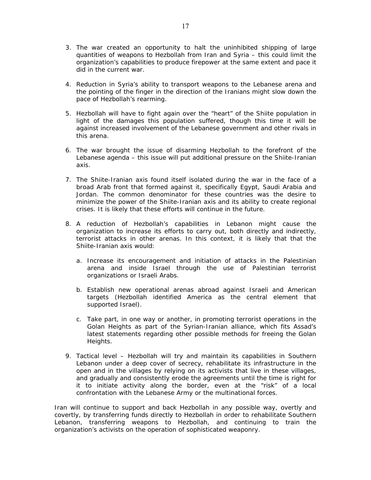- 3. The war created an opportunity to halt the uninhibited shipping of large quantities of weapons to Hezbollah from Iran and Syria – this could limit the organization's capabilities to produce firepower at the same extent and pace it did in the current war.
- 4. Reduction in Syria's ability to transport weapons to the Lebanese arena and the pointing of the finger in the direction of the Iranians might slow down the pace of Hezbollah's rearming.
- 5. Hezbollah will have to fight again over the "heart" of the Shiite population in light of the damages this population suffered, though this time it will be against increased involvement of the Lebanese government and other rivals in this arena.
- 6. The war brought the issue of disarming Hezbollah to the forefront of the Lebanese agenda – this issue will put additional pressure on the Shiite-Iranian axis.
- 7. The Shiite-Iranian axis found itself isolated during the war in the face of a broad Arab front that formed against it, specifically Egypt, Saudi Arabia and Jordan. The common denominator for these countries was the desire to minimize the power of the Shiite-Iranian axis and its ability to create regional crises. It is likely that these efforts will continue in the future.
- 8. A reduction of Hezbollah's capabilities in Lebanon might cause the organization to increase its efforts to carry out, both directly and indirectly, terrorist attacks in other arenas. In this context, it is likely that that the Shiite-Iranian axis would:
	- a. Increase its encouragement and initiation of attacks in the Palestinian arena and inside Israel through the use of Palestinian terrorist organizations or Israeli Arabs.
	- b. Establish new operational arenas abroad against Israeli and American targets (Hezbollah identified America as the central element that supported Israel).
	- c. Take part, in one way or another, in promoting terrorist operations in the Golan Heights as part of the Syrian-Iranian alliance, which fits Assad's latest statements regarding other possible methods for freeing the Golan Heights.
- 9. Tactical level Hezbollah will try and maintain its capabilities in Southern Lebanon under a deep cover of secrecy, rehabilitate its infrastructure in the open and in the villages by relying on its activists that live in these villages, and gradually and consistently erode the agreements until the time is right for it to initiate activity along the border, even at the "risk" of a local confrontation with the Lebanese Army or the multinational forces.

Iran will continue to support and back Hezbollah in any possible way, overtly and covertly, by transferring funds directly to Hezbollah in order to rehabilitate Southern Lebanon, transferring weapons to Hezbollah, and continuing to train the organization's activists on the operation of sophisticated weaponry.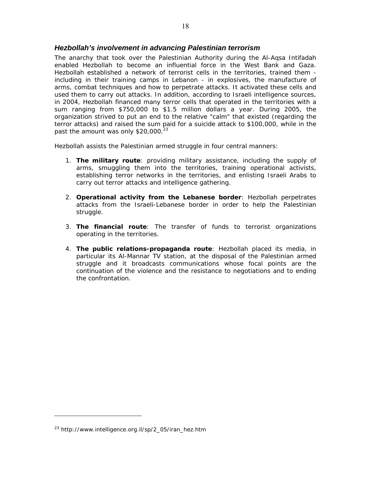## *Hezbollah's involvement in advancing Palestinian terrorism*

The anarchy that took over the Palestinian Authority during the Al-Aqsa Intifadah enabled Hezbollah to become an influential force in the West Bank and Gaza. Hezbollah established a network of terrorist cells in the territories, trained them including in their training camps in Lebanon - in explosives, the manufacture of arms, combat techniques and how to perpetrate attacks. It activated these cells and used them to carry out attacks. In addition, according to Israeli intelligence sources, in 2004, Hezbollah financed many terror cells that operated in the territories with a sum ranging from \$750,000 to \$1.5 million dollars a year. During 2005, the organization strived to put an end to the relative "calm" that existed (regarding the terror attacks) and raised the sum paid for a suicide attack to \$100,000, while in the past the amount was only  $$20,000.<sup>23</sup>$ 

Hezbollah assists the Palestinian armed struggle in four central manners:

- 1. **The military route**: providing military assistance, including the supply of arms, smuggling them into the territories, training operational activists, establishing terror networks in the territories, and enlisting Israeli Arabs to carry out terror attacks and intelligence gathering.
- 2. **Operational activity from the Lebanese border**: Hezbollah perpetrates attacks from the Israeli-Lebanese border in order to help the Palestinian struggle.
- 3. **The financial route**: The transfer of funds to terrorist organizations operating in the territories.
- 4. **The public relations-propaganda route**: Hezbollah placed its media, in particular its Al-Mannar TV station, at the disposal of the Palestinian armed struggle and it broadcasts communications whose focal points are the continuation of the violence and the resistance to negotiations and to ending the confrontation.

<sup>23</sup> http://www.intelligence.org.il/sp/2\_05/iran\_hez.htm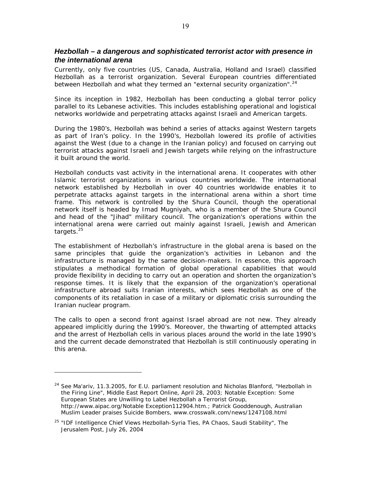## *Hezbollah – a dangerous and sophisticated terrorist actor with presence in the international arena*

Currently, only five countries (US, Canada, Australia, Holland and Israel) classified Hezbollah as a terrorist organization. Several European countries differentiated between Hezbollah and what they termed an "external security organization".<sup>24</sup>

Since its inception in 1982, Hezbollah has been conducting a global terror policy parallel to its Lebanese activities. This includes establishing operational and logistical networks worldwide and perpetrating attacks against Israeli and American targets.

During the 1980's, Hezbollah was behind a series of attacks against Western targets as part of Iran's policy. In the 1990's, Hezbollah lowered its profile of activities against the West (due to a change in the Iranian policy) and focused on carrying out terrorist attacks against Israeli and Jewish targets while relying on the infrastructure it built around the world.

Hezbollah conducts vast activity in the international arena. It cooperates with other Islamic terrorist organizations in various countries worldwide. The international network established by Hezbollah in over 40 countries worldwide enables it to perpetrate attacks against targets in the international arena within a short time frame. This network is controlled by the Shura Council, though the operational network itself is headed by Imad Mugniyah, who is a member of the Shura Council and head of the "Jihad" military council. The organization's operations within the international arena were carried out mainly against Israeli, Jewish and American targets.<sup>25</sup>

The establishment of Hezbollah's infrastructure in the global arena is based on the same principles that guide the organization's activities in Lebanon and the infrastructure is managed by the same decision-makers. In essence, this approach stipulates a methodical formation of global operational capabilities that would provide flexibility in deciding to carry out an operation and shorten the organization's response times. It is likely that the expansion of the organization's operational infrastructure abroad suits Iranian interests, which sees Hezbollah as one of the components of its retaliation in case of a military or diplomatic crisis surrounding the Iranian nuclear program.

The calls to open a second front against Israel abroad are not new. They already appeared implicitly during the 1990's. Moreover, the thwarting of attempted attacks and the arrest of Hezbollah cells in various places around the world in the late 1990's and the current decade demonstrated that Hezbollah is still continuously operating in this arena.

<sup>&</sup>lt;sup>24</sup> See Ma'ariv, 11.3.2005, for E.U. parliament resolution and Nicholas Blanford, "Hezbollah in the Firing Line", Middle East Report Online, April 28, 2003; Notable Exception: Some European States are Unwilling to Label Hezbollah a Terrorist Group, http://www.aipac.org/Notable Exception112904.htm.; Patrick Gooddenough*,* Australian Muslim Leader praises Suicide Bombers, www.crosswalk.com/news/1247108.html

<sup>25 &</sup>quot;IDF Intelligence Chief Views Hezbollah-Syria Ties, PA Chaos, Saudi Stability", *The Jerusalem Post*, July 26, 2004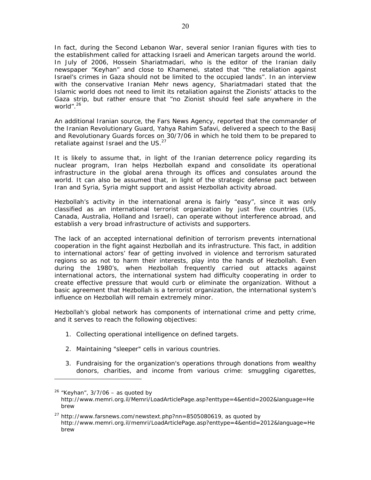In fact, during the Second Lebanon War, several senior Iranian figures with ties to the establishment called for attacking Israeli and American targets around the world. In July of 2006, Hossein Shariatmadari, who is the editor of the Iranian daily newspaper "Keyhan" and close to Khamenei, stated that "the retaliation against Israel's crimes in Gaza should not be limited to the occupied lands". In an interview with the conservative Iranian Mehr news agency, Shariatmadari stated that the Islamic world does not need to limit its retaliation against the Zionists' attacks to the Gaza strip, but rather ensure that "no Zionist should feel safe anywhere in the world".<sup>26</sup>

An additional Iranian source, the Fars News Agency, reported that the commander of the Iranian Revolutionary Guard, Yahya Rahim Safavi, delivered a speech to the Basij and Revolutionary Guards forces on 30/7/06 in which he told them to be prepared to retaliate against Israel and the US. $^{27}$ 

It is likely to assume that, in light of the Iranian deterrence policy regarding its nuclear program, Iran helps Hezbollah expand and consolidate its operational infrastructure in the global arena through its offices and consulates around the world. It can also be assumed that, in light of the strategic defense pact between Iran and Syria, Syria might support and assist Hezbollah activity abroad.

Hezbollah's activity in the international arena is fairly "easy", since it was only classified as an international terrorist organization by just five countries (US, Canada, Australia, Holland and Israel), can operate without interference abroad, and establish a very broad infrastructure of activists and supporters.

The lack of an accepted international definition of terrorism prevents international cooperation in the fight against Hezbollah and its infrastructure. This fact, in addition to international actors' fear of getting involved in violence and terrorism saturated regions so as not to harm their interests, play into the hands of Hezbollah. Even during the 1980's, when Hezbollah frequently carried out attacks against international actors, the international system had difficulty cooperating in order to create effective pressure that would curb or eliminate the organization. Without a basic agreement that Hezbollah is a terrorist organization, the international system's influence on Hezbollah will remain extremely minor.

Hezbollah's global network has components of international crime and petty crime, and it serves to reach the following objectives:

- 1. Collecting operational intelligence on defined targets.
- 2. Maintaining "sleeper" cells in various countries.

-

3. Fundraising for the organization's operations through donations from wealthy donors, charities, and income from various crime: smuggling cigarettes,

 $26$  "Keyhan", 3/7/06 – as quoted by http://www.memri.org.il/Memri/LoadArticlePage.asp?enttype=4&entid=2002&language=He brew

 $27$  http://www.farsnews.com/newstext.php?nn=8505080619, as quoted by http://www.memri.org.il/memri/LoadArticlePage.asp?enttype=4&entid=2012&language=He brew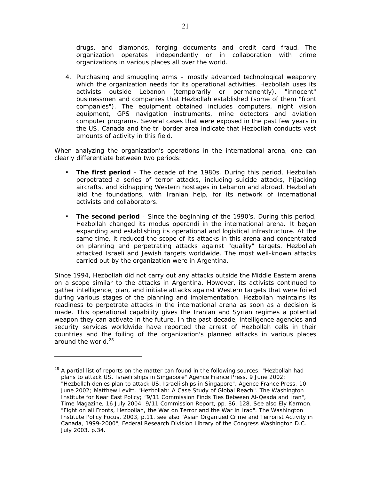drugs, and diamonds, forging documents and credit card fraud. The organization operates independently or in collaboration with crime organizations in various places all over the world.

4. Purchasing and smuggling arms – mostly advanced technological weaponry which the organization needs for its operational activities. Hezbollah uses its activists outside Lebanon (temporarily or permanently), "innocent" businessmen and companies that Hezbollah established (some of them "front companies"). The equipment obtained includes computers, night vision equipment, GPS navigation instruments, mine detectors and aviation computer programs. Several cases that were exposed in the past few years in the US, Canada and the tri-border area indicate that Hezbollah conducts vast amounts of activity in this field.

When analyzing the organization's operations in the international arena, one can clearly differentiate between two periods:

- **The first period** The decade of the 1980s. During this period, Hezbollah perpetrated a series of terror attacks, including suicide attacks, hijacking aircrafts, and kidnapping Western hostages in Lebanon and abroad. Hezbollah laid the foundations, with Iranian help, for its network of international activists and collaborators.
- **The second period** Since the beginning of the 1990's. During this period, Hezbollah changed its modus operandi in the international arena. It began expanding and establishing its operational and logistical infrastructure. At the same time, it reduced the scope of its attacks in this arena and concentrated on planning and perpetrating attacks against "quality" targets. Hezbollah attacked Israeli and Jewish targets worldwide. The most well-known attacks carried out by the organization were in Argentina.

Since 1994, Hezbollah did not carry out any attacks outside the Middle Eastern arena on a scope similar to the attacks in Argentina. However, its activists continued to gather intelligence, plan, and initiate attacks against Western targets that were foiled during various stages of the planning and implementation. Hezbollah maintains its readiness to perpetrate attacks in the international arena as soon as a decision is made. This operational capability gives the Iranian and Syrian regimes a potential weapon they can activate in the future. In the past decade, intelligence agencies and security services worldwide have reported the arrest of Hezbollah cells in their countries and the foiling of the organization's planned attacks in various places around the world.<sup>28</sup>

 $28$  A partial list of reports on the matter can found in the following sources: "Hezbollah had plans to attack US, Israeli ships in Singapore" *Agence France Press*, 9 June 2002; "Hezbollah denies plan to attack US, Israeli ships in Singapore", *Agence France Press*, 10 June 2002; Matthew Levitt. "Hezbollah: A Case Study of Global Reach". *The Washington Institute for Near East Policy*; "9/11 Commission Finds Ties Between Al-Qeada and Iran", Time Magazine, 16 July 2004; 9/11 Commission Report, pp. 86, 128. See also Ely Karmon. "Fight on all Fronts, Hezbollah, the War on Terror and the War in Iraq". *The Washington Institute Policy Focus*, 2003, p.11. see also "Asian Organized Crime and Terrorist Activity in Canada, 1999-2000", *Federal Research Division Library of the Congress Washington D.C*. July 2003. p.34.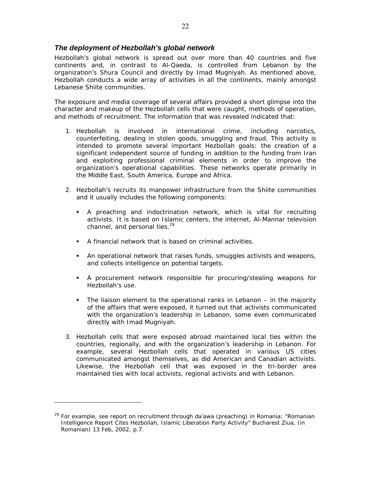## *The deployment of Hezbollah's global network*

Hezbollah's global network is spread out over more than 40 countries and five continents and, in contrast to Al-Qaeda, is controlled from Lebanon by the organization's Shura Council and directly by Imad Mugniyah. As mentioned above, Hezbollah conducts a wide array of activities in all the continents, mainly amongst Lebanese Shiite communities.

The exposure and media coverage of several affairs provided a short glimpse into the character and makeup of the Hezbollah cells that were caught, methods of operation, and methods of recruitment. The information that was revealed indicated that:

- 1. Hezbollah is involved in international crime, including narcotics, counterfeiting, dealing in stolen goods, smuggling and fraud. This activity is intended to promote several important Hezbollah goals: the creation of a significant independent source of funding in addition to the funding from Iran and exploiting professional criminal elements in order to improve the organization's operational capabilities. These networks operate primarily in the Middle East, South America, Europe and Africa.
- 2. Hezbollah's recruits its manpower infrastructure from the Shiite communities and it usually includes the following components:
	- A preaching and indoctrination network, which is vital for recruiting activists. It is based on Islamic centers, the internet, Al-Mannar television channel, and personal ties.<sup>29</sup>
	- A financial network that is based on criminal activities.
	- An operational network that raises funds, smuggles activists and weapons, and collects intelligence on potential targets.
	- A procurement network responsible for procuring/stealing weapons for Hezbollah's use.
	- The liaison element to the operational ranks in Lebanon in the majority of the affairs that were exposed, it turned out that activists communicated with the organization's leadership in Lebanon, some even communicated directly with Imad Mugniyah.
- 3. Hezbollah cells that were exposed abroad maintained local ties within the countries, regionally, and with the organization's leadership in Lebanon. For example, several Hezbollah cells that operated in various US cities communicated amongst themselves, as did American and Canadian activists. Likewise, the Hezbollah cell that was exposed in the tri-border area maintained ties with local activists, regional activists and with Lebanon.

<sup>&</sup>lt;sup>29</sup> For example, see report on recruitment through da'awa (preaching) in Romania: "Romanian Intelligence Report Cites Hezbollah, Islamic Liberation Party Activity" *Bucharest Ziua,* (in Romanian) 13 Feb, 2002, p.7.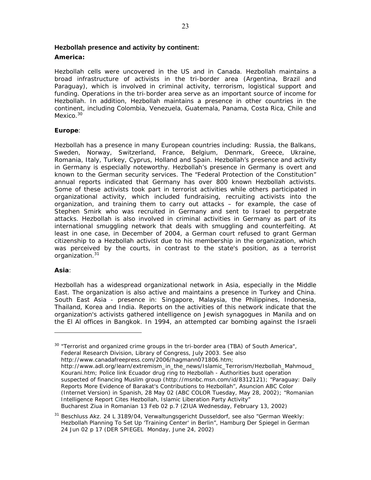#### **Hezbollah presence and activity by continent:**

#### **America:**

Hezbollah cells were uncovered in the US and in Canada. Hezbollah maintains a broad infrastructure of activists in the tri-border area (Argentina, Brazil and Paraguay), which is involved in criminal activity, terrorism, logistical support and funding. Operations in the tri-border area serve as an important source of income for Hezbollah. In addition, Hezbollah maintains a presence in other countries in the continent, including Colombia, Venezuela, Guatemala, Panama, Costa Rica, Chile and Mexico.<sup>30</sup>

## **Europe**:

Hezbollah has a presence in many European countries including: Russia, the Balkans, Sweden, Norway, Switzerland, France, Belgium, Denmark, Greece, Ukraine, Romania, Italy, Turkey, Cyprus, Holland and Spain. Hezbollah's presence and activity in Germany is especially noteworthy. Hezbollah's presence in Germany is overt and known to the German security services. The "Federal Protection of the Constitution" annual reports indicated that Germany has over 800 known Hezbollah activists. Some of these activists took part in terrorist activities while others participated in organizational activity, which included fundraising, recruiting activists into the organization, and training them to carry out attacks – for example, the case of Stephen Smirk who was recruited in Germany and sent to Israel to perpetrate attacks. Hezbollah is also involved in criminal activities in Germany as part of its international smuggling network that deals with smuggling and counterfeiting. At least in one case, in December of 2004, a German court refused to grant German citizenship to a Hezbollah activist due to his membership in the organization, which was perceived by the courts, in contrast to the state's position, as a terrorist organization.<sup>31</sup>

#### **Asia**:

Hezbollah has a widespread organizational network in Asia, especially in the Middle East. The organization is also active and maintains a presence in Turkey and China. South East Asia - presence in: Singapore, Malaysia, the Philippines, Indonesia, Thailand, Korea and India. Reports on the activities of this network indicate that the organization's activists gathered intelligence on Jewish synagogues in Manila and on the El Al offices in Bangkok. In 1994, an attempted car bombing against the Israeli

<sup>30</sup> "Terrorist and organized crime groups in the tri-border area (TBA) of South America", *Federal Research Division, Library of Congress*, July 2003. See also http://www.canadafreepress.com/2006/hagmann071806.htm; http://www.adl.org/learn/extremism\_in\_the\_news/Islamic\_Terrorism/Hezbollah\_Mahmoud\_ Kourani.htm; *Police link Ecuador drug ring to Hezbollah - Authorities bust operation suspected of financing Muslim group* (http://msnbc.msn.com/id/8312121); "Paraguay: Daily Reports More Evidence of Barakat's Contributions to Hezbollah", *Asuncion ABC Color (Internet Version) in Spanish,* 28 May 02 (ABC COLOR Tuesday, May 28, 2002); "Romanian Intelligence Report Cites Hezbollah, Islamic Liberation Party Activity" *Bucharest Ziua in Romanian* 13 Feb 02 p.7 (ZIUA Wednesday, February 13, 2002)

 $31$  Beschluss Akz. 24 L 3189/04, Verwaltungsgericht Dusseldorf, see also "German Weekly: Hezbollah Planning To Set Up 'Training Center' in Berlin", *Hamburg Der Spiegel in German*  24 Jun 02 p 17 (DER SPIEGEL Monday, June 24, 2002)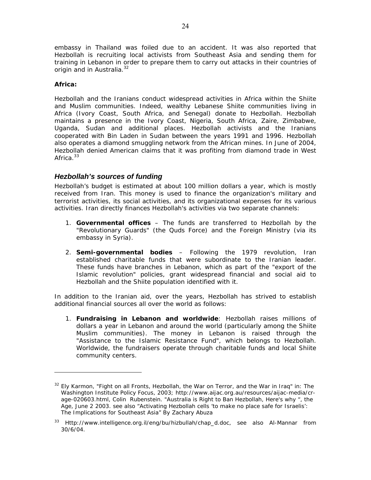embassy in Thailand was foiled due to an accident. It was also reported that Hezbollah is recruiting local activists from Southeast Asia and sending them for training in Lebanon in order to prepare them to carry out attacks in their countries of origin and in Australia.<sup>32</sup>

#### **Africa:**

-

Hezbollah and the Iranians conduct widespread activities in Africa within the Shiite and Muslim communities. Indeed, wealthy Lebanese Shiite communities living in Africa (Ivory Coast, South Africa, and Senegal) donate to Hezbollah. Hezbollah maintains a presence in the Ivory Coast, Nigeria, South Africa, Zaire, Zimbabwe, Uganda, Sudan and additional places. Hezbollah activists and the Iranians cooperated with Bin Laden in Sudan between the years 1991 and 1996. Hezbollah also operates a diamond smuggling network from the African mines. In June of 2004, Hezbollah denied American claims that it was profiting from diamond trade in West Africa. $33$ 

# *Hezbollah's sources of funding*

Hezbollah's budget is estimated at about 100 million dollars a year, which is mostly received from Iran. This money is used to finance the organization's military and terrorist activities, its social activities, and its organizational expenses for its various activities. Iran directly finances Hezbollah's activities via two separate channels:

- 1. **Governmental offices** The funds are transferred to Hezbollah by the "Revolutionary Guards" (the Quds Force) and the Foreign Ministry (via its embassy in Syria).
- 2. **Semi-governmental bodies** Following the 1979 revolution, Iran established charitable funds that were subordinate to the Iranian leader. These funds have branches in Lebanon, which as part of the "export of the Islamic revolution" policies, grant widespread financial and social aid to Hezbollah and the Shiite population identified with it.

In addition to the Iranian aid, over the years, Hezbollah has strived to establish additional financial sources all over the world as follows:

1. **Fundraising in Lebanon and worldwide**: Hezbollah raises millions of dollars a year in Lebanon and around the world (particularly among the Shiite Muslim communities). The money in Lebanon is raised through the "Assistance to the Islamic Resistance Fund", which belongs to Hezbollah. Worldwide, the fundraisers operate through charitable funds and local Shiite community centers.

<sup>32</sup> Ely Karmon, "Fight on all Fronts, Hezbollah, the War on Terror, and the War in Iraq" in: *The Washington Institute Policy Focus*, 2003; http://www.aijac.org.au/resources/aijac-media/crage-020603.html, Colin Rubenstein. "Australia is Right to Ban Hezbollah, Here's why ", *the Age*, June 2 2003. see also "Activating Hezbollah cells 'to make no place safe for Israelis': The Implications for Southeast Asia" By Zachary Abuza

<sup>33</sup> Http://www.intelligence.org.il/eng/bu/hizbullah/chap\_d.doc, see also Al-Mannar from 30/6/04.